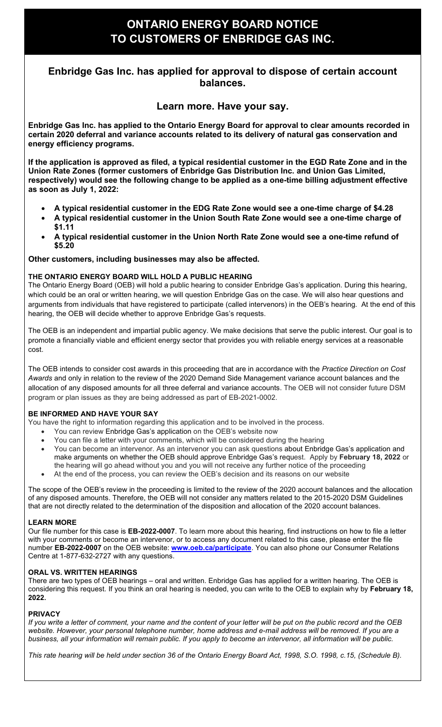# **ONTARIO ENERGY BOARD NOTICE TO CUSTOMERS OF ENBRIDGE GAS INC.**

## **Enbridge Gas Inc. has applied for approval to dispose of certain account balances.**

## **Learn more. Have your say.**

**Enbridge Gas Inc. has applied to the Ontario Energy Board for approval to clear amounts recorded in certain 2020 deferral and variance accounts related to its delivery of natural gas conservation and energy efficiency programs.**

**If the application is approved as filed, a typical residential customer in the EGD Rate Zone and in the Union Rate Zones (former customers of Enbridge Gas Distribution Inc. and Union Gas Limited, respectively) would see the following change to be applied as a one-time billing adjustment effective as soon as July 1, 2022:**

- **A typical residential customer in the EDG Rate Zone would see a one-time charge of \$4.28**
- **A typical residential customer in the Union South Rate Zone would see a one-time charge of \$1.11**
- **A typical residential customer in the Union North Rate Zone would see a one-time refund of \$5.20**

### **Other customers, including businesses may also be affected.**

### **THE ONTARIO ENERGY BOARD WILL HOLD A PUBLIC HEARING**

The Ontario Energy Board (OEB) will hold a public hearing to consider Enbridge Gas's application. During this hearing, which could be an oral or written hearing, we will question Enbridge Gas on the case. We will also hear questions and arguments from individuals that have registered to participate (called intervenors) in the OEB's hearing. At the end of this hearing, the OEB will decide whether to approve Enbridge Gas's requests.

The OEB is an independent and impartial public agency. We make decisions that serve the public interest. Our goal is to promote a financially viable and efficient energy sector that provides you with reliable energy services at a reasonable cost.

The OEB intends to consider cost awards in this proceeding that are in accordance with the *Practice Direction on Cost Awards* and only in relation to the review of the 2020 Demand Side Management variance account balances and the allocation of any disposed amounts for all three deferral and variance accounts. The OEB will not consider future DSM program or plan issues as they are being addressed as part of EB-2021-0002.

#### **BE INFORMED AND HAVE YOUR SAY**

You have the right to information regarding this application and to be involved in the process.

- You can review Enbridge Gas's application on the OEB's website now
- You can file a letter with your comments, which will be considered during the hearing
- You can become an intervenor. As an intervenor you can ask questions about Enbridge Gas's application and make arguments on whether the OEB should approve Enbridge Gas's request. Apply by **February 18, 2022** or the hearing will go ahead without you and you will not receive any further notice of the proceeding
- At the end of the process, you can review the OEB's decision and its reasons on our website

The scope of the OEB's review in the proceeding is limited to the review of the 2020 account balances and the allocation of any disposed amounts. Therefore, the OEB will not consider any matters related to the 2015-2020 DSM Guidelines that are not directly related to the determination of the disposition and allocation of the 2020 account balances.

#### **LEARN MORE**

Our file number for this case is **EB-2022-0007**. To learn more about this hearing, find instructions on how to file a letter with your comments or become an intervenor, or to access any document related to this case, please enter the file number **EB-2022-0007** on the OEB website: **[www.oeb.ca/participate](https://www.oeb.ca/participate)**. You can also phone our Consumer Relations Centre at 1-877-632-2727 with any questions.

#### **ORAL VS. WRITTEN HEARINGS**

There are two types of OEB hearings – oral and written. Enbridge Gas has applied for a written hearing. The OEB is considering this request. If you think an oral hearing is needed, you can write to the OEB to explain why by **February 18, 2022.**

#### **PRIVACY**

*If you write a letter of comment, your name and the content of your letter will be put on the public record and the OEB website. However, your personal telephone number, home address and e-mail address will be removed. If you are a business, all your information will remain public. If you apply to become an intervenor, all information will be public.* 

*This rate hearing will be held under section 36 of the Ontario Energy Board Act, 1998, S.O. 1998, c.15, (Schedule B).*